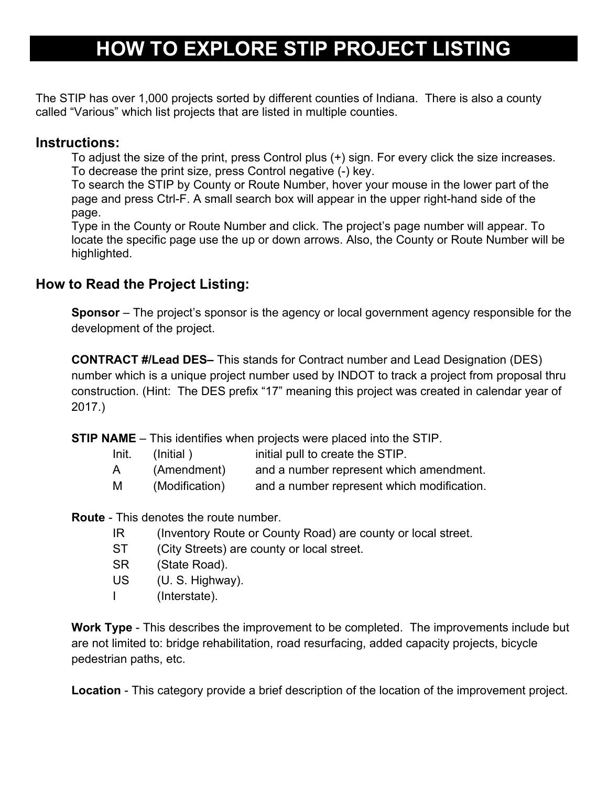## **HOW TO EXPLORE STIP PROJECT LISTING**

The STIP has over 1,000 projects sorted by different counties of Indiana. There is also a county called "Various" which list projects that are listed in multiple counties.

## **Instructions:**

To adjust the size of the print, press Control plus (+) sign. For every click the size increases. To decrease the print size, press Control negative (-) key.

To search the STIP by County or Route Number, hover your mouse in the lower part of the page and press Ctrl-F. A small search box will appear in the upper right-hand side of the page.

Type in the County or Route Number and click. The project's page number will appear. To locate the specific page use the up or down arrows. Also, the County or Route Number will be highlighted.

## **How to Read the Project Listing:**

**Sponsor** – The project's sponsor is the agency or local government agency responsible for the development of the project.

**CONTRACT #/Lead DES–** This stands for Contract number and Lead Designation (DES) number which is a unique project number used by INDOT to track a project from proposal thru construction. (Hint: The DES prefix "17" meaning this project was created in calendar year of 2017.)

**STIP NAME** – This identifies when projects were placed into the STIP.

| Init. | (Initial)      | initial pull to create the STIP.           |
|-------|----------------|--------------------------------------------|
| A     | (Amendment)    | and a number represent which amendment.    |
| M     | (Modification) | and a number represent which modification. |

**Route** - This denotes the route number.

- IR (Inventory Route or County Road) are county or local street.
- ST (City Streets) are county or local street.
- SR (State Road).
- US (U. S. Highway).
- I (Interstate).

**Work Type** - This describes the improvement to be completed. The improvements include but are not limited to: bridge rehabilitation, road resurfacing, added capacity projects, bicycle pedestrian paths, etc.

**Location** - This category provide a brief description of the location of the improvement project.